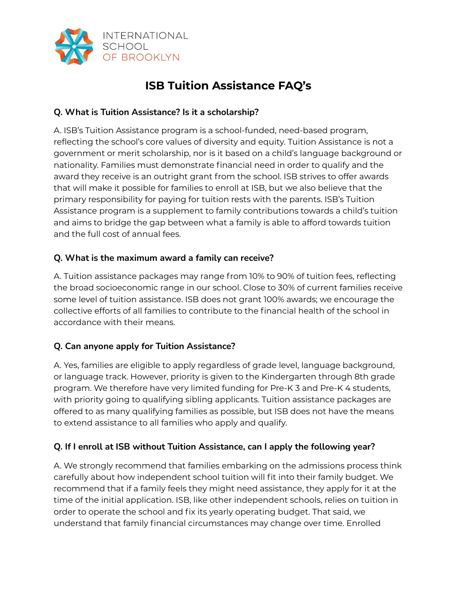

# **ISB Tuition Assistance FAQ's**

# **Q. What is Tuition Assistance? Is it a scholarship?**

A. ISB's Tuition Assistance program is a school-funded, need-based program, reflecting the school's core values of diversity and equity. Tuition Assistance is not a government or merit scholarship, nor is it based on a child's language background or nationality. Families must demonstrate financial need in order to qualify and the award they receive is an outright grant from the school. ISB strives to offer awards that will make it possible for families to enroll at ISB, but we also believe that the primary responsibility for paying for tuition rests with the parents. ISB's Tuition Assistance program is a supplement to family contributions towards a child's tuition and aims to bridge the gap between what a family is able to afford towards tuition and the full cost of annual fees.

# **Q. What is the maximum award a family can receive?**

A. Tuition assistance packages may range from 10% to 90% of tuition fees, reflecting the broad socioeconomic range in our school. Close to 30% of current families receive some level of tuition assistance. ISB does not grant 100% awards; we encourage the collective efforts of all families to contribute to the financial health of the school in accordance with their means.

# **Q. Can anyone apply for Tuition Assistance?**

A. Yes, families are eligible to apply regardless of grade level, language background, or language track. However, priority is given to the Kindergarten through 8th grade program. We therefore have very limited funding for Pre-K 3 and Pre-K 4 students, with priority going to qualifying sibling applicants. Tuition assistance packages are offered to as many qualifying families as possible, but ISB does not have the means to extend assistance to all families who apply and qualify.

### **Q. If I enroll at ISB without Tuition Assistance, can I apply the following year?**

A. We strongly recommend that families embarking on the admissions process think carefully about how independent school tuition will fit into their family budget. We recommend that if a family feels they might need assistance, they apply for it at the time of the initial application. ISB, like other independent schools, relies on tuition in order to operate the school and fix its yearly operating budget. That said, we understand that family financial circumstances may change over time. Enrolled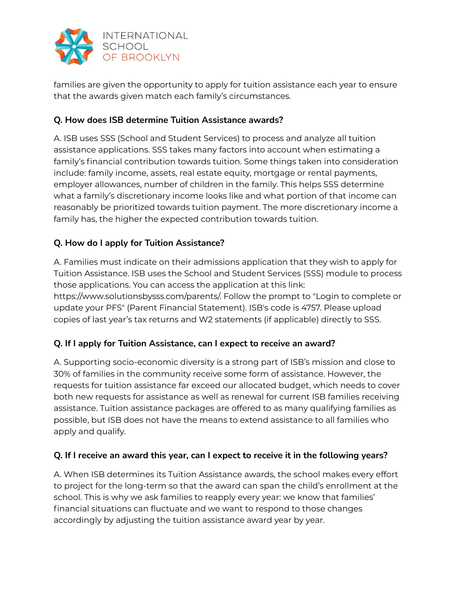

families are given the opportunity to apply for tuition assistance each year to ensure that the awards given match each family's circumstances.

# **Q. How does ISB determine Tuition Assistance awards?**

A. ISB uses SSS (School and Student Services) to process and analyze all tuition assistance applications. SSS takes many factors into account when estimating a family's financial contribution towards tuition. Some things taken into consideration include: family income, assets, real estate equity, mortgage or rental payments, employer allowances, number of children in the family. This helps SSS determine what a family's discretionary income looks like and what portion of that income can reasonably be prioritized towards tuition payment. The more discretionary income a family has, the higher the expected contribution towards tuition.

## **Q. How do I apply for Tuition Assistance?**

A. Families must indicate on their admissions application that they wish to apply for Tuition Assistance. ISB uses the School and Student Services (SSS) module to process those applications. You can access the application at this link: https://www.solutionsbysss.com/parents/. Follow the prompt to "Login to complete or update your PFS" (Parent Financial Statement). ISB's code is 4757. Please upload copies of last year's tax returns and W2 statements (if applicable) directly to SSS.

### **Q. If I apply for Tuition Assistance, can I expect to receive an award?**

A. Supporting socio-economic diversity is a strong part of ISB's mission and close to 30% of families in the community receive some form of assistance. However, the requests for tuition assistance far exceed our allocated budget, which needs to cover both new requests for assistance as well as renewal for current ISB families receiving assistance. Tuition assistance packages are offered to as many qualifying families as possible, but ISB does not have the means to extend assistance to all families who apply and qualify.

### **Q. If I receive an award this year, can I expect to receive it in the following years?**

A. When ISB determines its Tuition Assistance awards, the school makes every effort to project for the long-term so that the award can span the child's enrollment at the school. This is why we ask families to reapply every year: we know that families' financial situations can fluctuate and we want to respond to those changes accordingly by adjusting the tuition assistance award year by year.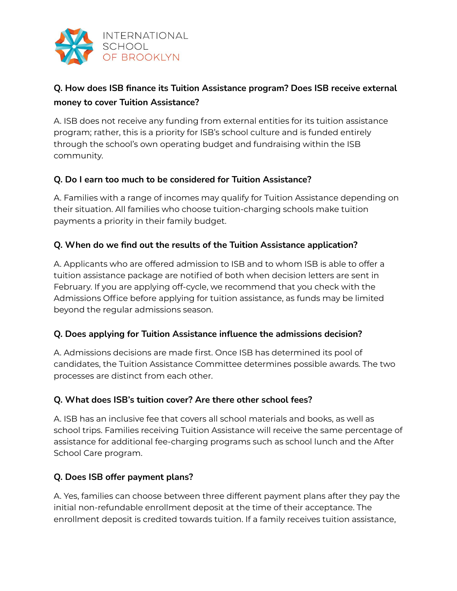

# **Q. How does ISB finance its Tuition Assistance program? Does ISB receive external money to cover Tuition Assistance?**

A. ISB does not receive any funding from external entities for its tuition assistance program; rather, this is a priority for ISB's school culture and is funded entirely through the school's own operating budget and fundraising within the ISB community.

### **Q. Do I earn too much to be considered for Tuition Assistance?**

A. Families with a range of incomes may qualify for Tuition Assistance depending on their situation. All families who choose tuition-charging schools make tuition payments a priority in their family budget.

### **Q. When do we find out the results of the Tuition Assistance application?**

A. Applicants who are offered admission to ISB and to whom ISB is able to offer a tuition assistance package are notified of both when decision letters are sent in February. If you are applying off-cycle, we recommend that you check with the Admissions Office before applying for tuition assistance, as funds may be limited beyond the regular admissions season.

### **Q. Does applying for Tuition Assistance influence the admissions decision?**

A. Admissions decisions are made first. Once ISB has determined its pool of candidates, the Tuition Assistance Committee determines possible awards. The two processes are distinct from each other.

### **Q. What does ISB's tuition cover? Are there other school fees?**

A. ISB has an inclusive fee that covers all school materials and books, as well as school trips. Families receiving Tuition Assistance will receive the same percentage of assistance for additional fee-charging programs such as school lunch and the After School Care program.

### **Q. Does ISB offer payment plans?**

A. Yes, families can choose between three different payment plans after they pay the initial non-refundable enrollment deposit at the time of their acceptance. The enrollment deposit is credited towards tuition. If a family receives tuition assistance,